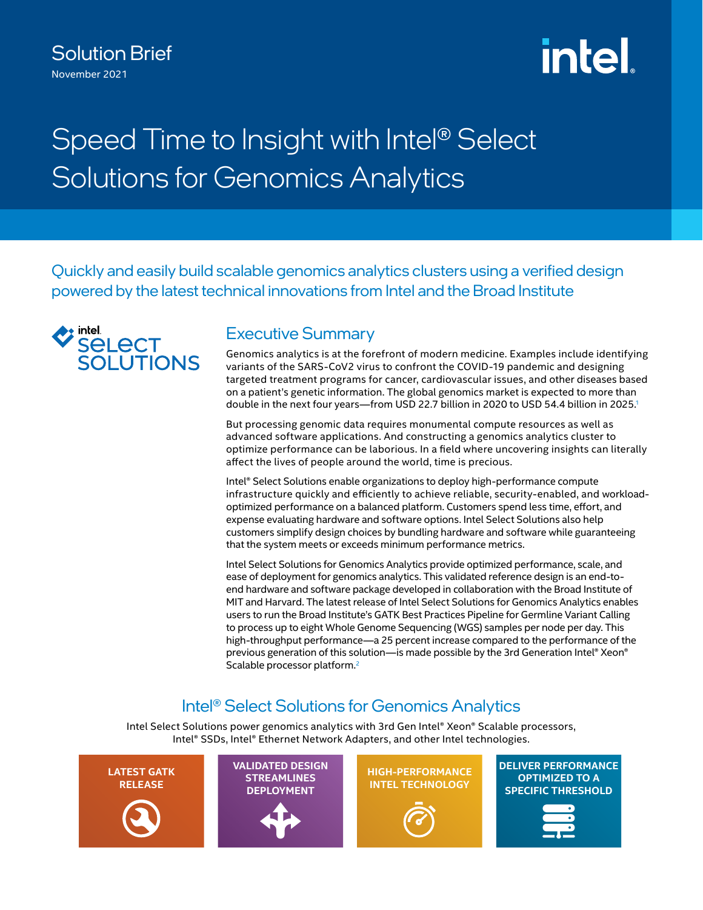### Solution Brief November 2021

# **intel**

# Speed Time to Insight with Intel® Select Solutions for Genomics Analytics

Quickly and easily build scalable genomics analytics clusters using a verified design powered by the latest technical innovations from Intel and the Broad Institute



#### Executive Summary

Genomics analytics is at the forefront of modern medicine. Examples include identifying variants of the SARS-CoV2 virus to confront the COVID-19 pandemic and designing targeted treatment programs for cancer, cardiovascular issues, and other diseases based on a patient's genetic information. The global genomics market is expected to more than double in the next four years—from USD 22.7 billion in 2020 to USD 54.4 billion in 2025.<sup>1</sup>

But processing genomic data requires monumental compute resources as well as advanced software applications. And constructing a genomics analytics cluster to optimize performance can be laborious. In a field where uncovering insights can literally affect the lives of people around the world, time is precious.

Intel® Select Solutions enable organizations to deploy high-performance compute infrastructure quickly and efficiently to achieve reliable, security-enabled, and workloadoptimized performance on a balanced platform. Customers spend less time, effort, and expense evaluating hardware and software options. Intel Select Solutions also help customers simplify design choices by bundling hardware and software while guaranteeing that the system meets or exceeds minimum performance metrics.

Intel Select Solutions for Genomics Analytics provide optimized performance, scale, and ease of deployment for genomics analytics. This validated reference design is an end-toend hardware and software package developed in collaboration with the Broad Institute of MIT and Harvard. The latest release of Intel Select Solutions for Genomics Analytics enables users to run the Broad Institute's GATK Best Practices Pipeline for Germline Variant Calling to process up to eight Whole Genome Sequencing (WGS) samples per node per day. This high-throughput performance—a 25 percent increase compared to the performance of the previous generation of this solution—is made possible by the 3rd Generation Intel® Xeon® Scalable processor platform.<sup>2</sup>

## Intel® Select Solutions for Genomics Analytics

Intel Select Solutions power genomics analytics with 3rd Gen Intel® Xeon® Scalable processors, Intel® SSDs, Intel® Ethernet Network Adapters, and other Intel technologies.

**LATEST GATK RELEASE VALIDATED DESIGN STREAMLINES DEPLOYMENT HIGH-PERFORMANCE INTEL TECHNOLOGY DELIVER PERFORMANCE OPTIMIZED TO A SPECIFIC THRESHOLD**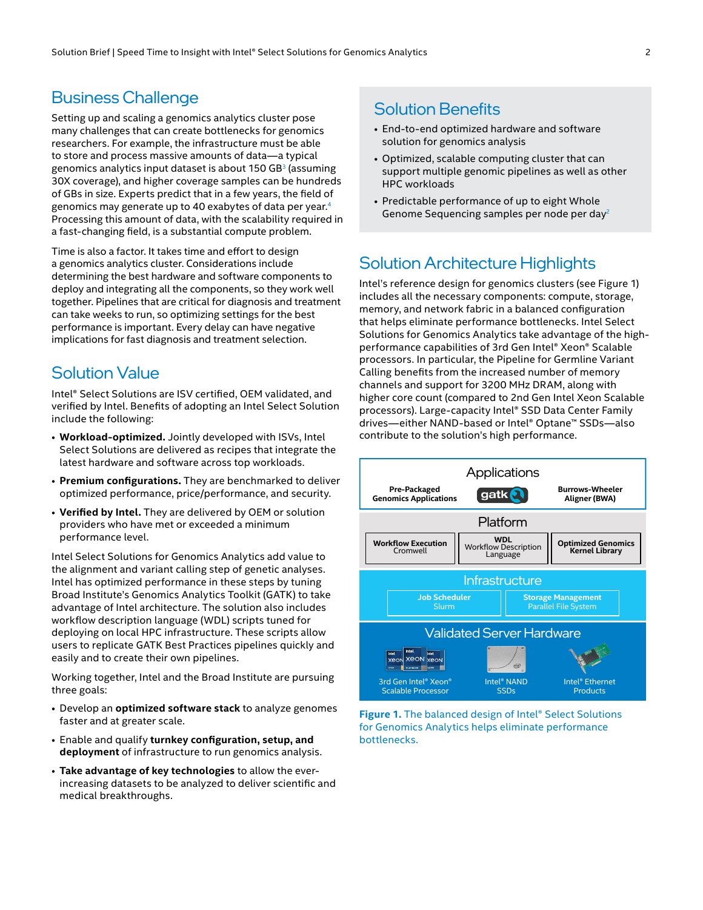#### Business Challenge

Setting up and scaling a genomics analytics cluster pose many challenges that can create bottlenecks for genomics researchers. For example, the infrastructure must be able to store and process massive amounts of data—a typical genomics analytics input dataset is about  $150$  GB<sup>[3](#page-3-2)</sup> (assuming 30X coverage), and higher coverage samples can be hundreds of GBs in size. Experts predict that in a few years, the field of genomics may generate up to 40 exabytes of data per vear.<sup>4</sup> Processing this amount of data, with the scalability required in a fast-changing field, is a substantial compute problem.

Time is also a factor. It takes time and effort to design a genomics analytics cluster. Considerations include determining the best hardware and software components to deploy and integrating all the components, so they work well together. Pipelines that are critical for diagnosis and treatment can take weeks to run, so optimizing settings for the best performance is important. Every delay can have negative implications for fast diagnosis and treatment selection.

#### Solution Value

Intel® Select Solutions are ISV certified, OEM validated, and verified by Intel. Benefits of adopting an Intel Select Solution include the following:

- **Workload-optimized.** Jointly developed with ISVs, Intel Select Solutions are delivered as recipes that integrate the latest hardware and software across top workloads.
- **Premium configurations.** They are benchmarked to deliver optimized performance, price/performance, and security.
- **Verified by Intel.** They are delivered by OEM or solution providers who have met or exceeded a minimum performance level.

Intel Select Solutions for Genomics Analytics add value to the alignment and variant calling step of genetic analyses. Intel has optimized performance in these steps by tuning Broad Institute's Genomics Analytics Toolkit (GATK) to take advantage of Intel architecture. The solution also includes workflow description language (WDL) scripts tuned for deploying on local HPC infrastructure. These scripts allow users to replicate GATK Best Practices pipelines quickly and easily and to create their own pipelines.

Working together, Intel and the Broad Institute are pursuing three goals:

- Develop an **optimized software stack** to analyze genomes faster and at greater scale.
- Enable and qualify **turnkey configuration, setup, and deployment** of infrastructure to run genomics analysis.
- **Take advantage of key technologies** to allow the everincreasing datasets to be analyzed to deliver scientific and medical breakthroughs.

#### Solution Benefits

- End-to-end optimized hardware and software solution for genomics analysis
- Optimized, scalable computing cluster that can support multiple genomic pipelines as well as other HPC workloads
- Predictable performance of up to eight Whole Genome Sequencing samples per node per day<sup>2</sup>

#### Solution Architecture Highlights

Intel's reference design for genomics clusters (see Figure 1) includes all the necessary components: compute, storage, memory, and network fabric in a balanced configuration that helps eliminate performance bottlenecks. Intel Select Solutions for Genomics Analytics take advantage of the highperformance capabilities of 3rd Gen Intel® Xeon® Scalable processors. In particular, the Pipeline for Germline Variant Calling benefits from the increased number of memory channels and support for 3200 MHz DRAM, along with higher core count (compared to 2nd Gen Intel Xeon Scalable processors). Large-capacity Intel® SSD Data Center Family drives—either NAND-based or Intel® Optane™ SSDs—also contribute to the solution's high performance.



**Figure 1.** The balanced design of Intel® Select Solutions for Genomics Analytics helps eliminate performance bottlenecks.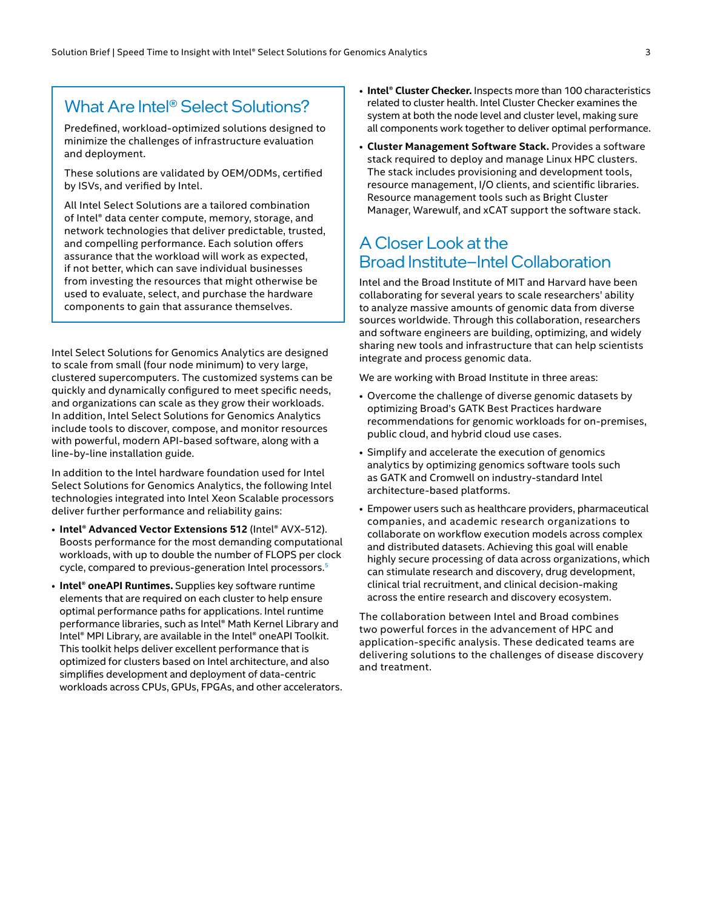#### What Are Intel® Select Solutions?

Predefined, workload-optimized solutions designed to minimize the challenges of infrastructure evaluation and deployment.

These solutions are validated by OEM/ODMs, certified by ISVs, and verified by Intel.

All Intel Select Solutions are a tailored combination of Intel® data center compute, memory, storage, and network technologies that deliver predictable, trusted, and compelling performance. Each solution offers assurance that the workload will work as expected, if not better, which can save individual businesses from investing the resources that might otherwise be used to evaluate, select, and purchase the hardware components to gain that assurance themselves.

Intel Select Solutions for Genomics Analytics are designed to scale from small (four node minimum) to very large, clustered supercomputers. The customized systems can be quickly and dynamically configured to meet specific needs, and organizations can scale as they grow their workloads. In addition, Intel Select Solutions for Genomics Analytics include tools to discover, compose, and monitor resources with powerful, modern API-based software, along with a line-by-line installation guide.

In addition to the Intel hardware foundation used for Intel Select Solutions for Genomics Analytics, the following Intel technologies integrated into Intel Xeon Scalable processors deliver further performance and reliability gains:

- **Intel® Advanced Vector Extensions 512** (Intel® AVX-512). Boosts performance for the most demanding computational workloads, with up to double the number of FLOPS per clock cycle, compared to previous-generation Intel processors.<sup>[5](#page-3-4)</sup>
- **Intel® oneAPI Runtimes.** Supplies key software runtime elements that are required on each cluster to help ensure optimal performance paths for applications. Intel runtime performance libraries, such as Intel® Math Kernel Library and Intel® MPI Library, are available in the Intel® oneAPI Toolkit. This toolkit helps deliver excellent performance that is optimized for clusters based on Intel architecture, and also simplifies development and deployment of data-centric workloads across CPUs, GPUs, FPGAs, and other accelerators.
- **Intel® Cluster Checker.** Inspects more than 100 characteristics related to cluster health. Intel Cluster Checker examines the system at both the node level and cluster level, making sure all components work together to deliver optimal performance.
- **Cluster Management Software Stack.** Provides a software stack required to deploy and manage Linux HPC clusters. The stack includes provisioning and development tools, resource management, I/O clients, and scientific libraries. Resource management tools such as Bright Cluster Manager, Warewulf, and xCAT support the software stack.

#### A Closer Look at the Broad Institute–Intel Collaboration

Intel and the Broad Institute of MIT and Harvard have been collaborating for several years to scale researchers' ability to analyze massive amounts of genomic data from diverse sources worldwide. Through this collaboration, researchers and software engineers are building, optimizing, and widely sharing new tools and infrastructure that can help scientists integrate and process genomic data.

We are working with Broad Institute in three areas:

- Overcome the challenge of diverse genomic datasets by optimizing Broad's GATK Best Practices hardware recommendations for genomic workloads for on-premises, public cloud, and hybrid cloud use cases.
- Simplify and accelerate the execution of genomics analytics by optimizing genomics software tools such as GATK and Cromwell on industry-standard Intel architecture-based platforms.
- Empower users such as healthcare providers, pharmaceutical companies, and academic research organizations to collaborate on workflow execution models across complex and distributed datasets. Achieving this goal will enable highly secure processing of data across organizations, which can stimulate research and discovery, drug development, clinical trial recruitment, and clinical decision-making across the entire research and discovery ecosystem.

The collaboration between Intel and Broad combines two powerful forces in the advancement of HPC and application-specific analysis. These dedicated teams are delivering solutions to the challenges of disease discovery and treatment.